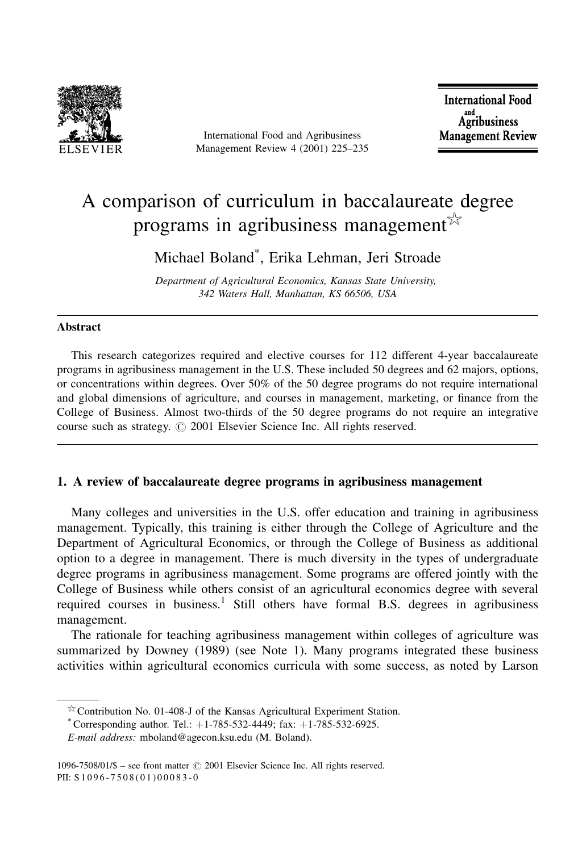

International Food and Agribusiness Management Review 4 (2001) 225-235

**International Food** and<br>Agribusiness **Management Review** 

# A comparison of curriculum in baccalaureate degree programs in agribusiness management  $\mathbb{R}^2$

Michael Boland<sup>\*</sup>, Erika Lehman, Jeri Stroade

Department of Agricultural Economics, Kansas State University, 342 Waters Hall, Manhattan, KS 66506, USA

#### **Abstract**

This research categorizes required and elective courses for 112 different 4-year baccalaureate programs in agribusiness management in the U.S. These included 50 degrees and 62 majors, options, or concentrations within degrees. Over 50% of the 50 degree programs do not require international and global dimensions of agriculture, and courses in management, marketing, or finance from the College of Business. Almost two-thirds of the 50 degree programs do not require an integrative course such as strategy. © 2001 Elsevier Science Inc. All rights reserved.

# 1. A review of baccalaureate degree programs in agribusiness management

Many colleges and universities in the U.S. offer education and training in agribusiness management. Typically, this training is either through the College of Agriculture and the Department of Agricultural Economics, or through the College of Business as additional option to a degree in management. There is much diversity in the types of undergraduate degree programs in agribusiness management. Some programs are offered jointly with the College of Business while others consist of an agricultural economics degree with several required courses in business.<sup>1</sup> Still others have formal B.S. degrees in agribusiness management.

The rationale for teaching agribusiness management within colleges of agriculture was summarized by Downey (1989) (see Note 1). Many programs integrated these business activities within agricultural economics curricula with some success, as noted by Larson

 $\frac{1}{2}$  Contribution No. 01-408-J of the Kansas Agricultural Experiment Station.

<sup>\*</sup> Corresponding author. Tel.:  $+1-785-532-4449$ ; fax:  $+1-785-532-6925$ .

E-mail address: mboland@agecon.ksu.edu (M. Boland).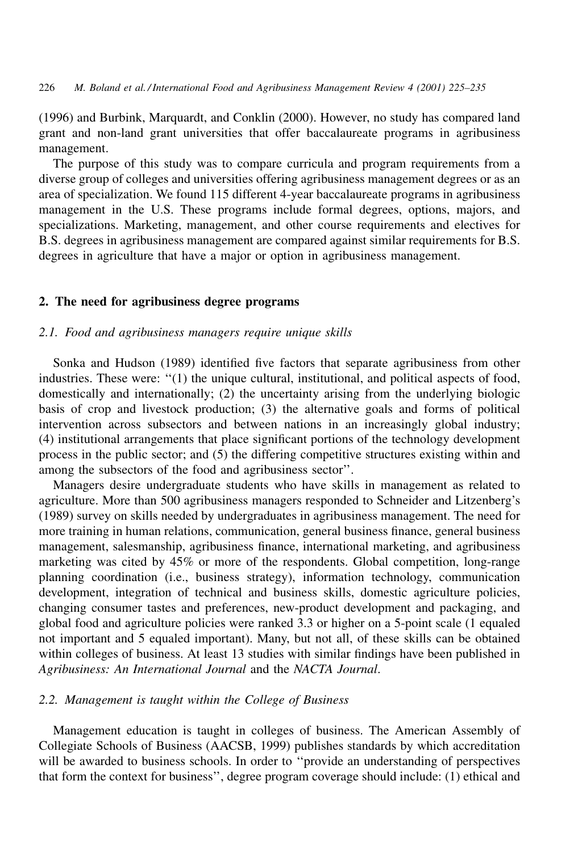(1996) and Burbink, Marquardt, and Conklin (2000). However, no study has compared land grant and non-land grant universities that offer baccalaureate programs in agribusiness management.

The purpose of this study was to compare curricula and program requirements from a diverse group of colleges and universities offering agribusiness management degrees or as an area of specialization. We found 115 different 4-year baccalaureate programs in agribusiness management in the U.S. These programs include formal degrees, options, majors, and specializations. Marketing, management, and other course requirements and electives for B.S. degrees in agribusiness management are compared against similar requirements for B.S. degrees in agriculture that have a major or option in agribusiness management.

#### 2. The need for agribusiness degree programs

## 2.1. Food and agribusiness managers require unique skills

Sonka and Hudson (1989) identified five factors that separate agribusiness from other industries. These were: "(1) the unique cultural, institutional, and political aspects of food, domestically and internationally; (2) the uncertainty arising from the underlying biologic basis of crop and livestock production; (3) the alternative goals and forms of political intervention across subsectors and between nations in an increasingly global industry; (4) institutional arrangements that place significant portions of the technology development process in the public sector; and  $(5)$  the differing competitive structures existing within and among the subsectors of the food and agribusiness sector".

Managers desire undergraduate students who have skills in management as related to agriculture. More than 500 agribusiness managers responded to Schneider and Litzenberg's (1989) survey on skills needed by undergraduates in agribusiness management. The need for more training in human relations, communication, general business finance, general business management, salesmanship, agribusiness finance, international marketing, and agribusiness marketing was cited by 45% or more of the respondents. Global competition, long-range planning coordination (i.e., business strategy), information technology, communication development, integration of technical and business skills, domestic agriculture policies, changing consumer tastes and preferences, new-product development and packaging, and global food and agriculture policies were ranked 3.3 or higher on a 5-point scale (1 equaled not important and 5 equaled important). Many, but not all, of these skills can be obtained within colleges of business. At least 13 studies with similar findings have been published in Agribusiness: An International Journal and the NACTA Journal.

# 2.2. Management is taught within the College of Business

Management education is taught in colleges of business. The American Assembly of Collegiate Schools of Business (AACSB, 1999) publishes standards by which accreditation will be awarded to business schools. In order to "provide an understanding of perspectives that form the context for business", degree program coverage should include: (1) ethical and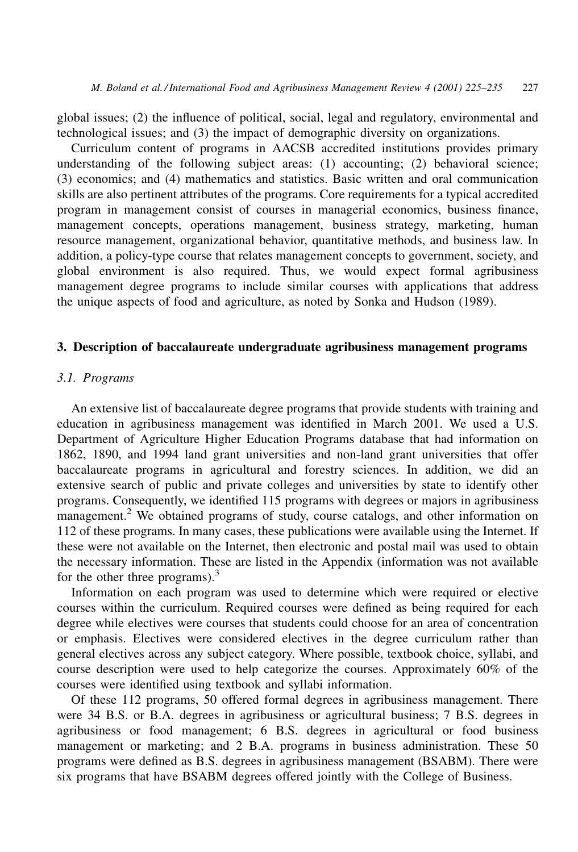global issues; (2) the influence of political, social, legal and regulatory, environmental and technological issues; and (3) the impact of demographic diversity on organizations.

Curriculum content of programs in AACSB accredited institutions provides primary understanding of the following subject areas: (1) accounting; (2) behavioral science; (3) economics; and (4) mathematics and statistics. Basic written and oral communication skills are also pertinent attributes of the programs. Core requirements for a typical accredited program in management consist of courses in managerial economics, business finance, management concepts, operations management, business strategy, marketing, human resource management, organizational behavior, quantitative methods, and business law. In addition, a policy-type course that relates management concepts to government, society, and global environment is also required. Thus, we would expect formal agribusiness management degree programs to include similar courses with applications that address the unique aspects of food and agriculture, as noted by Sonka and Hudson (1989).

## 3. Description of baccalaureate undergraduate agribusiness management programs

# 3.1. Programs

An extensive list of baccalaureate degree programs that provide students with training and education in agribusiness management was identified in March 2001. We used a U.S. Department of Agriculture Higher Education Programs database that had information on 1862, 1890, and 1994 land grant universities and non-land grant universities that offer baccalaureate programs in agricultural and forestry sciences. In addition, we did an extensive search of public and private colleges and universities by state to identify other programs. Consequently, we identified 115 programs with degrees or majors in agribusiness management.<sup>2</sup> We obtained programs of study, course catalogs, and other information on 112 of these programs. In many cases, these publications were available using the Internet. If these were not available on the Internet, then electronic and postal mail was used to obtain the necessary information. These are listed in the Appendix (information was not available for the other three programs).<sup>3</sup>

Information on each program was used to determine which were required or elective courses within the curriculum. Required courses were defined as being required for each degree while electives were courses that students could choose for an area of concentration or emphasis. Electives were considered electives in the degree curriculum rather than general electives across any subject category. Where possible, textbook choice, syllabi, and course description were used to help categorize the courses. Approximately  $60\%$  of the courses were identified using textbook and syllabi information.

Of these 112 programs, 50 offered formal degrees in agribusiness management. There were 34 B.S. or B.A. degrees in agribusiness or agricultural business; 7 B.S. degrees in agribusiness or food management; 6 B.S. degrees in agricultural or food business management or marketing; and 2 B.A. programs in business administration. These 50 programs were defined as B.S. degrees in agribusiness management (BSABM). There were six programs that have BSABM degrees offered jointly with the College of Business.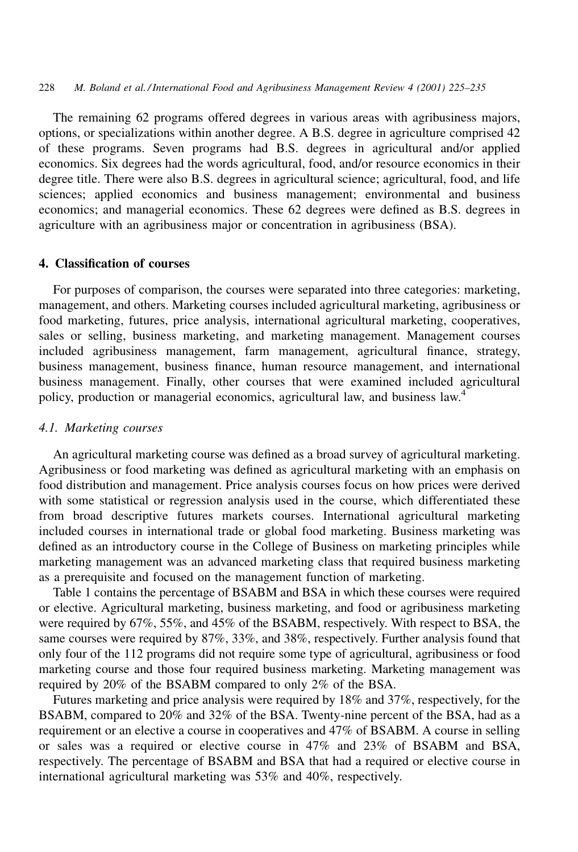The remaining 62 programs offered degrees in various areas with agribusiness majors, options, or specializations within another degree. A B.S. degree in agriculture comprised 42 of these programs. Seven programs had B.S. degrees in agricultural and/or applied economics. Six degrees had the words agricultural, food, and/or resource economics in their degree title. There were also B.S. degrees in agricultural science; agricultural, food, and life sciences; applied economics and business management; environmental and business economics; and managerial economics. These 62 degrees were defined as B.S. degrees in agriculture with an agribusiness major or concentration in agribusiness (BSA).

#### 4. Classification of courses

For purposes of comparison, the courses were separated into three categories: marketing, management, and others. Marketing courses included agricultural marketing, agribusiness or food marketing, futures, price analysis, international agricultural marketing, cooperatives, sales or selling, business marketing, and marketing management. Management courses included agribusiness management, farm management, agricultural finance, strategy, business management, business finance, human resource management, and international business management. Finally, other courses that were examined included agricultural policy, production or managerial economics, agricultural law, and business law.<sup>4</sup>

## 4.1. Marketing courses

An agricultural marketing course was defined as a broad survey of agricultural marketing. Agribusiness or food marketing was defined as agricultural marketing with an emphasis on food distribution and management. Price analysis courses focus on how prices were derived with some statistical or regression analysis used in the course, which differentiated these from broad descriptive futures markets courses. International agricultural marketing included courses in international trade or global food marketing. Business marketing was defined as an introductory course in the College of Business on marketing principles while marketing management was an advanced marketing class that required business marketing as a prerequisite and focused on the management function of marketing.

Table 1 contains the percentage of BSABM and BSA in which these courses were required or elective. Agricultural marketing, business marketing, and food or agribusiness marketing were required by 67%, 55%, and 45% of the BSABM, respectively. With respect to BSA, the same courses were required by 87%, 33%, and 38%, respectively. Further analysis found that only four of the 112 programs did not require some type of agricultural, agribusiness or food marketing course and those four required business marketing. Marketing management was required by 20% of the BSABM compared to only 2% of the BSA.

Futures marketing and price analysis were required by 18% and 37%, respectively, for the BSABM, compared to 20% and 32% of the BSA. Twenty-nine percent of the BSA, had as a requirement or an elective a course in cooperatives and 47% of BSABM. A course in selling or sales was a required or elective course in 47% and 23% of BSABM and BSA, respectively. The percentage of BSABM and BSA that had a required or elective course in international agricultural marketing was 53% and 40%, respectively.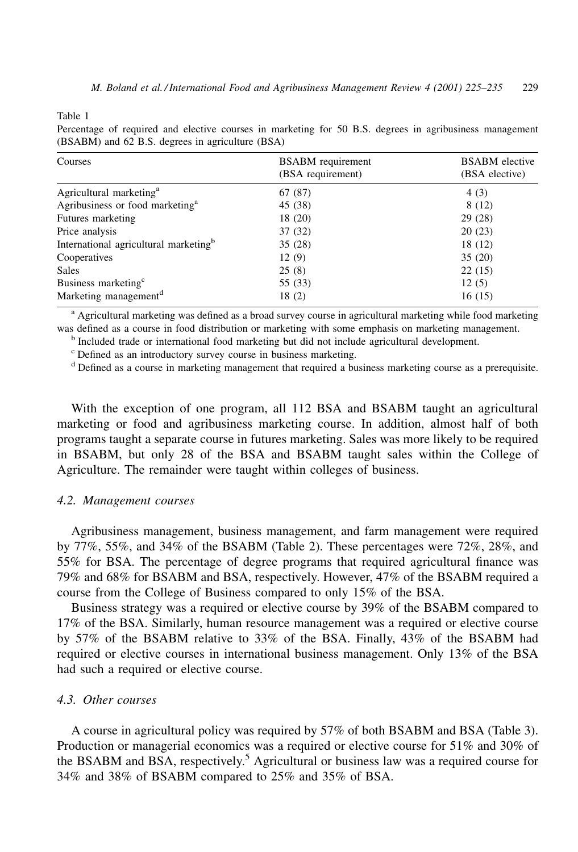Table 1

|                                                  |  |  |  |  |  |  | Percentage of required and elective courses in marketing for 50 B.S. degrees in agribusiness management |
|--------------------------------------------------|--|--|--|--|--|--|---------------------------------------------------------------------------------------------------------|
| (BSABM) and 62 B.S. degrees in agriculture (BSA) |  |  |  |  |  |  |                                                                                                         |

| Courses                                           | <b>BSABM</b> requirement<br>(BSA requirement) | <b>BSABM</b> elective<br>(BSA elective) |  |  |
|---------------------------------------------------|-----------------------------------------------|-----------------------------------------|--|--|
| Agricultural marketing <sup>a</sup>               | 67(87)                                        | 4(3)                                    |  |  |
| Agribusiness or food marketing <sup>a</sup>       | 45 (38)                                       | 8 (12)                                  |  |  |
| Futures marketing                                 | 18 (20)                                       | 29(28)                                  |  |  |
| Price analysis                                    | 37 (32)                                       | 20(23)                                  |  |  |
| International agricultural marketing <sup>b</sup> | 35 (28)                                       | 18 (12)                                 |  |  |
| Cooperatives                                      | 12(9)                                         | 35(20)                                  |  |  |
| <b>Sales</b>                                      | 25(8)                                         | 22(15)                                  |  |  |
| Business marketing <sup>c</sup>                   | 55 (33)                                       | 12(5)                                   |  |  |
| Marketing management <sup>d</sup>                 | 18(2)                                         | 16(15)                                  |  |  |

a Agricultural marketing was defined as a broad survey course in agricultural marketing while food marketing was defined as a course in food distribution or marketing with some emphasis on marketing management.

<sup>b</sup> Included trade or international food marketing but did not include agricultural development.

<sup>c</sup> Defined as an introductory survey course in business marketing.

<sup>d</sup> Defined as a course in marketing management that required a business marketing course as a prerequisite.

With the exception of one program, all 112 BSA and BSABM taught an agricultural marketing or food and agribusiness marketing course. In addition, almost half of both programs taught a separate course in futures marketing. Sales was more likely to be required in BSABM, but only 28 of the BSA and BSABM taught sales within the College of Agriculture. The remainder were taught within colleges of business.

#### 4.2. Management courses

Agribusiness management, business management, and farm management were required by  $77\%$ ,  $55\%$ , and  $34\%$  of the BSABM (Table 2). These percentages were  $72\%$ ,  $28\%$ , and 55% for BSA. The percentage of degree programs that required agricultural finance was 79% and 68% for BSABM and BSA, respectively. However, 47% of the BSABM required a course from the College of Business compared to only 15% of the BSA.

Business strategy was a required or elective course by 39% of the BSABM compared to 17% of the BSA. Similarly, human resource management was a required or elective course by 57% of the BSABM relative to 33% of the BSA. Finally, 43% of the BSABM had required or elective courses in international business management. Only 13% of the BSA had such a required or elective course.

# 4.3 Other courses

A course in agricultural policy was required by 57% of both BSABM and BSA (Table 3). Production or managerial economics was a required or elective course for 51% and 30% of the BSABM and BSA, respectively.<sup>5</sup> Agricultural or business law was a required course for 34% and 38% of BSABM compared to 25% and 35% of BSA.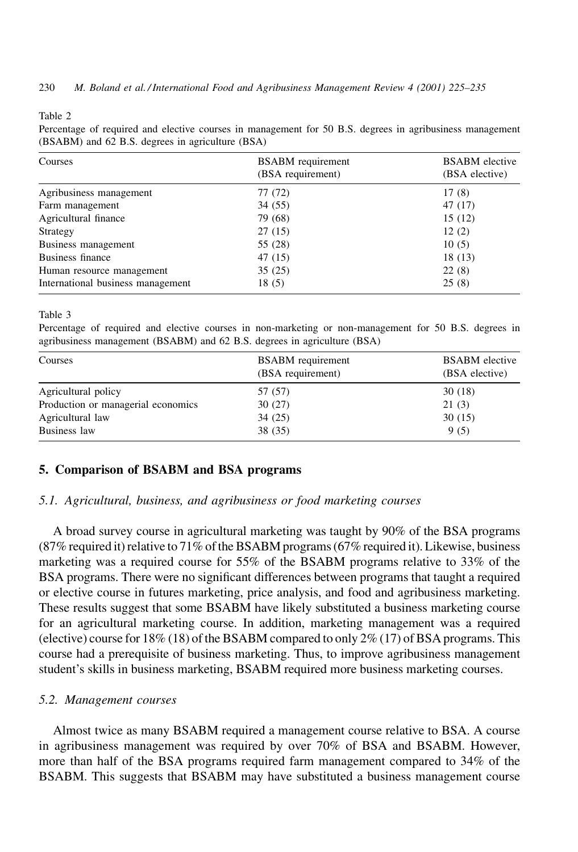Table 2

Percentage of required and elective courses in management for 50 B.S. degrees in agribusiness management (BSABM) and 62 B.S. degrees in agriculture (BSA)

| Courses                           | <b>BSABM</b> requirement<br>(BSA requirement) | <b>BSABM</b> elective<br>(BSA elective) |
|-----------------------------------|-----------------------------------------------|-----------------------------------------|
| Agribusiness management           | 77 (72)                                       | 17(8)                                   |
| Farm management                   | 34(55)                                        | 47 (17)                                 |
| Agricultural finance              | 79 (68)                                       | 15(12)                                  |
| Strategy                          | 27(15)                                        | 12(2)                                   |
| Business management               | 55 (28)                                       | 10(5)                                   |
| Business finance                  | 47 (15)                                       | 18(13)                                  |
| Human resource management         | 35(25)                                        | 22(8)                                   |
| International business management | 18(5)                                         | 25(8)                                   |

Table 3

Percentage of required and elective courses in non-marketing or non-management for 50 B.S. degrees in agribusiness management (BSABM) and 62 B.S. degrees in agriculture (BSA)

| Courses                            | <b>BSABM</b> requirement<br>(BSA requirement) | <b>BSABM</b> elective<br>(BSA elective) |  |  |
|------------------------------------|-----------------------------------------------|-----------------------------------------|--|--|
| Agricultural policy                | 57 (57)                                       | 30(18)                                  |  |  |
| Production or managerial economics | 30(27)                                        | 21(3)                                   |  |  |
| Agricultural law                   | 34(25)                                        | 30(15)                                  |  |  |
| Business law                       | 38 (35)                                       | 9(5)                                    |  |  |

## 5. Comparison of BSABM and BSA programs

# 5.1. Agricultural, business, and agribusiness or food marketing courses

A broad survey course in agricultural marketing was taught by 90% of the BSA programs (87% required it) relative to 71% of the BSABM programs (67% required it). Likewise, business marketing was a required course for 55% of the BSABM programs relative to 33% of the BSA programs. There were no significant differences between programs that taught a required or elective course in futures marketing, price analysis, and food and agribusiness marketing. These results suggest that some BSABM have likely substituted a business marketing course for an agricultural marketing course. In addition, marketing management was a required (elective) course for  $18\%$  (18) of the BSABM compared to only  $2\%$  (17) of BSA programs. This course had a prerequisite of business marketing. Thus, to improve agribusiness management student's skills in business marketing, BSABM required more business marketing courses.

#### 5.2. Management courses

Almost twice as many BSABM required a management course relative to BSA. A course in agribusiness management was required by over 70% of BSA and BSABM. However, more than half of the BSA programs required farm management compared to 34% of the BSABM. This suggests that BSABM may have substituted a business management course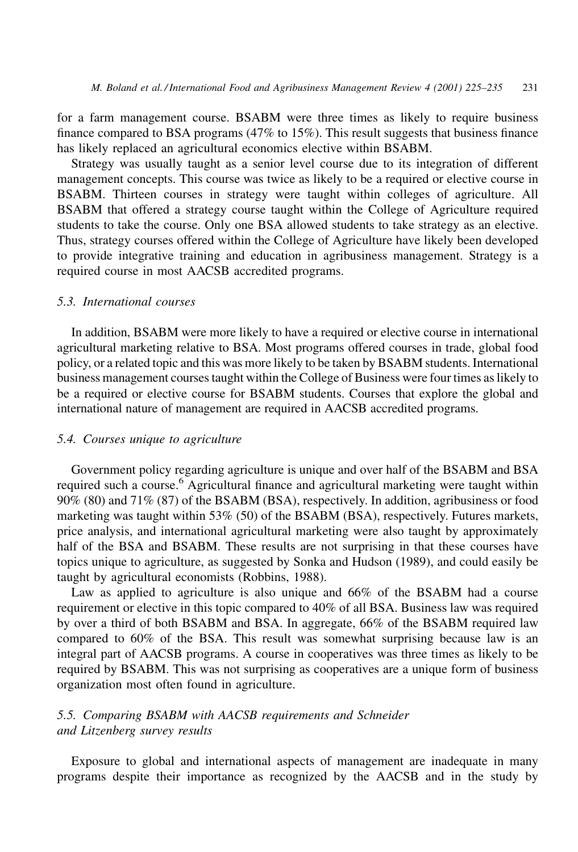for a farm management course. BSABM were three times as likely to require business finance compared to BSA programs  $(47\%$  to  $15\%)$ . This result suggests that business finance has likely replaced an agricultural economics elective within BSABM.

Strategy was usually taught as a senior level course due to its integration of different management concepts. This course was twice as likely to be a required or elective course in BSABM. Thirteen courses in strategy were taught within colleges of agriculture. All BSABM that offered a strategy course taught within the College of Agriculture required students to take the course. Only one BSA allowed students to take strategy as an elective. Thus, strategy courses offered within the College of Agriculture have likely been developed to provide integrative training and education in agribusiness management. Strategy is a required course in most AACSB accredited programs.

### 5.3. International courses

In addition, BSABM were more likely to have a required or elective course in international agricultural marketing relative to BSA. Most programs offered courses in trade, global food policy, or a related topic and this was more likely to be taken by BSABM students. International business management courses taught within the College of Business were four times as likely to be a required or elective course for BSABM students. Courses that explore the global and international nature of management are required in AACSB accredited programs.

#### 5.4. Courses unique to agriculture

Government policy regarding agriculture is unique and over half of the BSABM and BSA required such a course.<sup>6</sup> Agricultural finance and agricultural marketing were taught within 90% (80) and 71% (87) of the BSABM (BSA), respectively. In addition, agribusiness or food marketing was taught within 53% (50) of the BSABM (BSA), respectively. Futures markets, price analysis, and international agricultural marketing were also taught by approximately half of the BSA and BSABM. These results are not surprising in that these courses have topics unique to agriculture, as suggested by Sonka and Hudson (1989), and could easily be taught by agricultural economists (Robbins, 1988).

Law as applied to agriculture is also unique and 66% of the BSABM had a course requirement or elective in this topic compared to 40% of all BSA. Business law was required by over a third of both BSABM and BSA. In aggregate, 66% of the BSABM required law compared to 60% of the BSA. This result was somewhat surprising because law is an integral part of AACSB programs. A course in cooperatives was three times as likely to be required by BSABM. This was not surprising as cooperatives are a unique form of business organization most often found in agriculture.

# 5.5. Comparing BSABM with AACSB requirements and Schneider and Litzenberg survey results

Exposure to global and international aspects of management are inadequate in many programs despite their importance as recognized by the AACSB and in the study by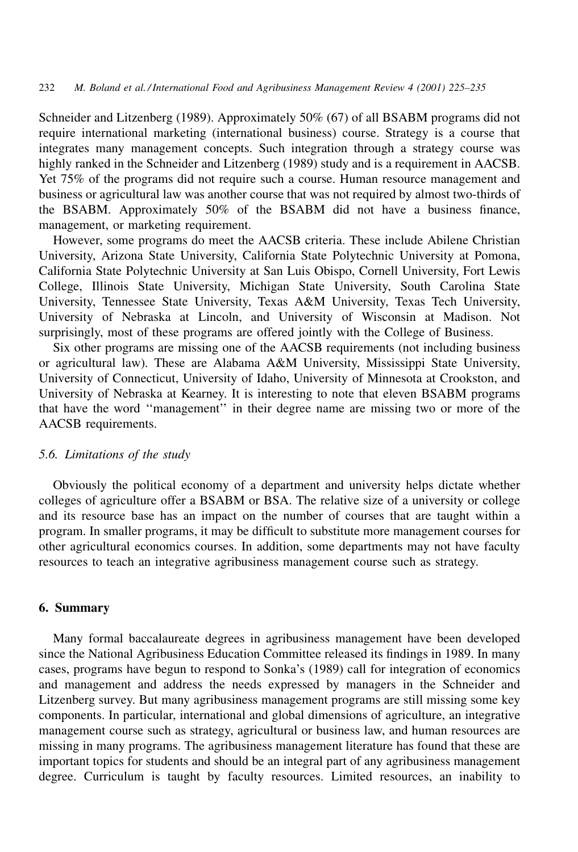Schneider and Litzenberg (1989). Approximately 50% (67) of all BSABM programs did not require international marketing (international business) course. Strategy is a course that integrates many management concepts. Such integration through a strategy course was highly ranked in the Schneider and Litzenberg (1989) study and is a requirement in AACSB. Yet 75% of the programs did not require such a course. Human resource management and business or agricultural law was another course that was not required by almost two-thirds of the BSABM. Approximately 50% of the BSABM did not have a business finance, management, or marketing requirement.

However, some programs do meet the AACSB criteria. These include Abilene Christian University, Arizona State University, California State Polytechnic University at Pomona, California State Polytechnic University at San Luis Obispo, Cornell University, Fort Lewis College, Illinois State University, Michigan State University, South Carolina State University, Tennessee State University, Texas A&M University, Texas Tech University, University of Nebraska at Lincoln, and University of Wisconsin at Madison. Not surprisingly, most of these programs are offered jointly with the College of Business.

Six other programs are missing one of the AACSB requirements (not including business or agricultural law). These are Alabama A&M University, Mississippi State University, University of Connecticut, University of Idaho, University of Minnesota at Crookston, and University of Nebraska at Kearney. It is interesting to note that eleven BSABM programs that have the word "management" in their degree name are missing two or more of the AACSB requirements.

#### 5.6. Limitations of the study

Obviously the political economy of a department and university helps dictate whether colleges of agriculture offer a BSABM or BSA. The relative size of a university or college and its resource base has an impact on the number of courses that are taught within a program. In smaller programs, it may be difficult to substitute more management courses for other agricultural economics courses. In addition, some departments may not have faculty resources to teach an integrative agribusiness management course such as strategy.

### 6. Summary

Many formal baccalaureate degrees in agribusiness management have been developed since the National Agribusiness Education Committee released its findings in 1989. In many cases, programs have begun to respond to Sonka's (1989) call for integration of economics and management and address the needs expressed by managers in the Schneider and Litzenberg survey. But many agribusiness management programs are still missing some key components. In particular, international and global dimensions of agriculture, an integrative management course such as strategy, agricultural or business law, and human resources are missing in many programs. The agribusiness management literature has found that these are important topics for students and should be an integral part of any agribusiness management degree. Curriculum is taught by faculty resources. Limited resources, an inability to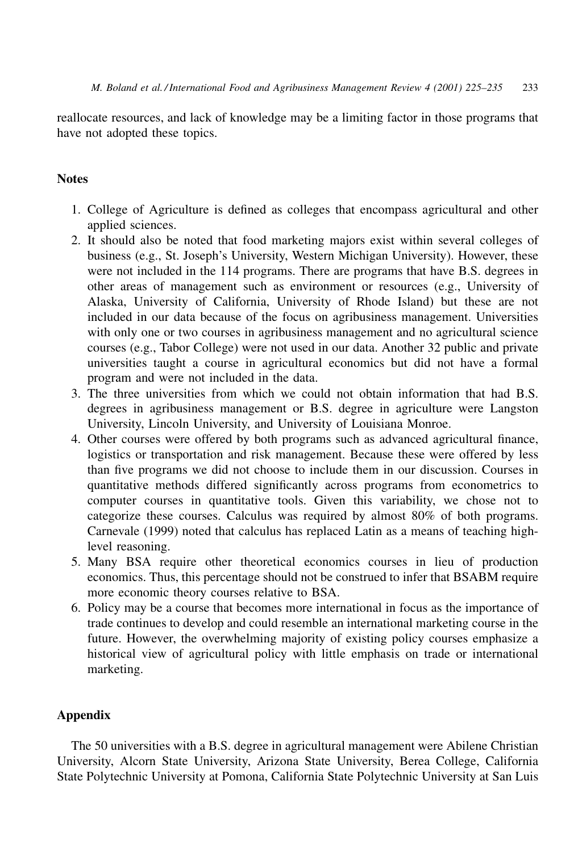reallocate resources, and lack of knowledge may be a limiting factor in those programs that have not adopted these topics.

# **Notes**

- 1. College of Agriculture is defined as colleges that encompass agricultural and other applied sciences.
- 2. It should also be noted that food marketing majors exist within several colleges of business (e.g., St. Joseph's University, Western Michigan University). However, these were not included in the 114 programs. There are programs that have B.S. degrees in other areas of management such as environment or resources (e.g., University of Alaska, University of California, University of Rhode Island) but these are not included in our data because of the focus on agribusiness management. Universities with only one or two courses in agribusiness management and no agricultural science courses (e.g., Tabor College) were not used in our data. Another 32 public and private universities taught a course in agricultural economics but did not have a formal program and were not included in the data.
- 3. The three universities from which we could not obtain information that had B.S. degrees in agribusiness management or B.S. degree in agriculture were Langston University, Lincoln University, and University of Louisiana Monroe.
- 4. Other courses were offered by both programs such as advanced agricultural finance, logistics or transportation and risk management. Because these were offered by less than five programs we did not choose to include them in our discussion. Courses in quantitative methods differed significantly across programs from econometrics to computer courses in quantitative tools. Given this variability, we chose not to categorize these courses. Calculus was required by almost  $80\%$  of both programs. Carnevale (1999) noted that calculus has replaced Latin as a means of teaching highlevel reasoning.
- 5. Many BSA require other theoretical economics courses in lieu of production economics. Thus, this percentage should not be construed to infer that BSABM require more economic theory courses relative to BSA.
- 6. Policy may be a course that becomes more international in focus as the importance of trade continues to develop and could resemble an international marketing course in the future. However, the overwhelming majority of existing policy courses emphasize a historical view of agricultural policy with little emphasis on trade or international marketing.

# **Appendix**

The 50 universities with a B.S. degree in agricultural management were Abilene Christian University, Alcorn State University, Arizona State University, Berea College, California State Polytechnic University at Pomona, California State Polytechnic University at San Luis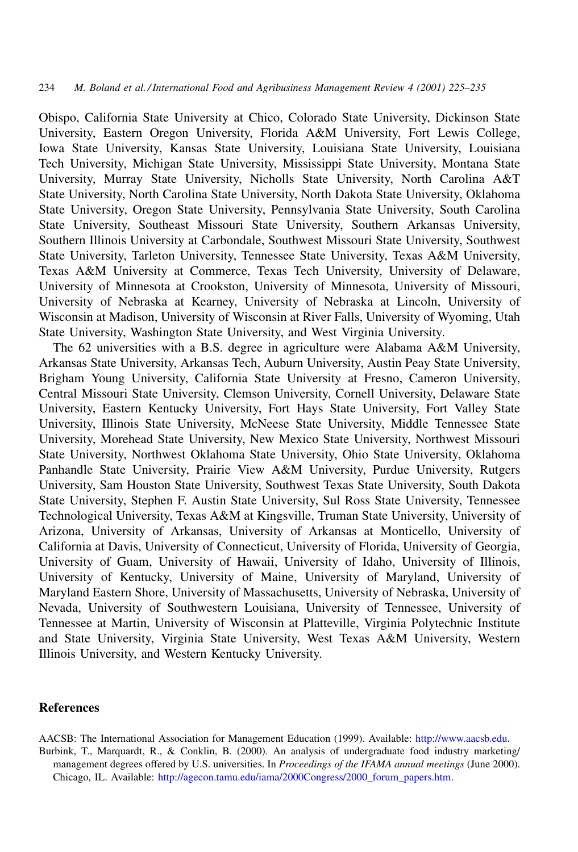Obispo, California State University at Chico, Colorado State University, Dickinson State University, Eastern Oregon University, Florida A&M University, Fort Lewis College, Iowa State University, Kansas State University, Louisiana State University, Louisiana Tech University, Michigan State University, Mississippi State University, Montana State University, Murray State University, Nicholls State University, North Carolina A&T State University, North Carolina State University, North Dakota State University, Oklahoma State University, Oregon State University, Pennsylvania State University, South Carolina State University, Southeast Missouri State University, Southern Arkansas University, Southern Illinois University at Carbondale, Southwest Missouri State University, Southwest State University, Tarleton University, Tennessee State University, Texas A&M University, Texas A&M University at Commerce, Texas Tech University, University of Delaware, University of Minnesota at Crookston, University of Minnesota, University of Missouri, University of Nebraska at Kearney, University of Nebraska at Lincoln, University of Wisconsin at Madison, University of Wisconsin at River Falls, University of Wyoming, Utah State University, Washington State University, and West Virginia University.

The 62 universities with a B.S. degree in agriculture were Alabama A&M University, Arkansas State University, Arkansas Tech, Auburn University, Austin Peay State University, Brigham Young University, California State University at Fresno, Cameron University, Central Missouri State University, Clemson University, Cornell University, Delaware State University, Eastern Kentucky University, Fort Hays State University, Fort Valley State University, Illinois State University, McNeese State University, Middle Tennessee State University, Morehead State University, New Mexico State University, Northwest Missouri State University, Northwest Oklahoma State University, Ohio State University, Oklahoma Panhandle State University, Prairie View A&M University, Purdue University, Rutgers University, Sam Houston State University, Southwest Texas State University, South Dakota State University, Stephen F. Austin State University, Sul Ross State University, Tennessee Technological University, Texas A&M at Kingsville, Truman State University, University of Arizona, University of Arkansas, University of Arkansas at Monticello, University of California at Davis, University of Connecticut, University of Florida, University of Georgia, University of Guam, University of Hawaii, University of Idaho, University of Illinois, University of Kentucky, University of Maine, University of Maryland, University of Maryland Eastern Shore, University of Massachusetts, University of Nebraska, University of Nevada, University of Southwestern Louisiana, University of Tennessee, University of Tennessee at Martin, University of Wisconsin at Platteville, Virginia Polytechnic Institute and State University, Virginia State University, West Texas A&M University, Western Illinois University, and Western Kentucky University.

#### **References**

AACSB: The International Association for Management Education (1999). Available: http://www.aacsb.edu. Burbink, T., Marquardt, R., & Conklin, B. (2000). An analysis of undergraduate food industry marketing/ management degrees offered by U.S. universities. In Proceedings of the IFAMA annual meetings (June 2000). Chicago, IL. Available: http://agecon.tamu.edu/iama/2000Congress/2000\_forum\_papers.htm.